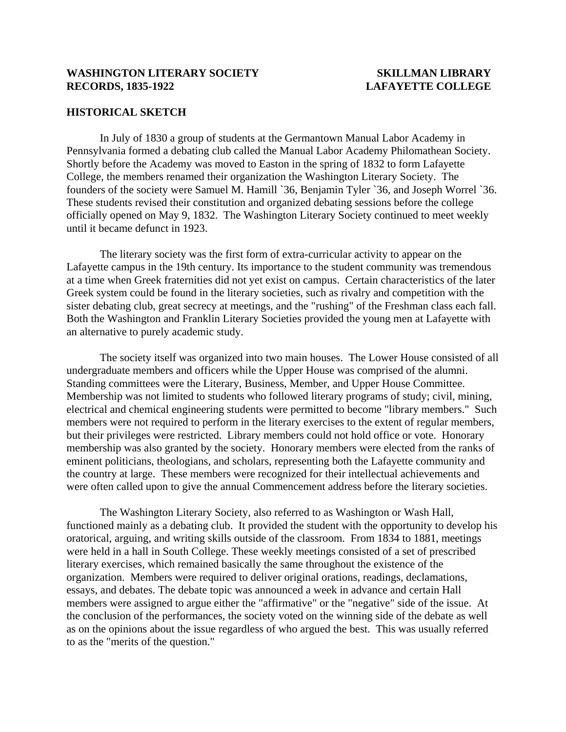### **HISTORICAL SKETCH**

In July of 1830 a group of students at the Germantown Manual Labor Academy in Pennsylvania formed a debating club called the Manual Labor Academy Philomathean Society. Shortly before the Academy was moved to Easton in the spring of 1832 to form Lafayette College, the members renamed their organization the Washington Literary Society. The founders of the society were Samuel M. Hamill `36, Benjamin Tyler `36, and Joseph Worrel `36. These students revised their constitution and organized debating sessions before the college officially opened on May 9, 1832. The Washington Literary Society continued to meet weekly until it became defunct in 1923.

The literary society was the first form of extra-curricular activity to appear on the Lafayette campus in the 19th century. Its importance to the student community was tremendous at a time when Greek fraternities did not yet exist on campus. Certain characteristics of the later Greek system could be found in the literary societies, such as rivalry and competition with the sister debating club, great secrecy at meetings, and the "rushing" of the Freshman class each fall. Both the Washington and Franklin Literary Societies provided the young men at Lafayette with an alternative to purely academic study.

The society itself was organized into two main houses. The Lower House consisted of all undergraduate members and officers while the Upper House was comprised of the alumni. Standing committees were the Literary, Business, Member, and Upper House Committee. Membership was not limited to students who followed literary programs of study; civil, mining, electrical and chemical engineering students were permitted to become "library members." Such members were not required to perform in the literary exercises to the extent of regular members, but their privileges were restricted. Library members could not hold office or vote. Honorary membership was also granted by the society. Honorary members were elected from the ranks of eminent politicians, theologians, and scholars, representing both the Lafayette community and the country at large. These members were recognized for their intellectual achievements and were often called upon to give the annual Commencement address before the literary societies.

The Washington Literary Society, also referred to as Washington or Wash Hall, functioned mainly as a debating club. It provided the student with the opportunity to develop his oratorical, arguing, and writing skills outside of the classroom. From 1834 to 1881, meetings were held in a hall in South College. These weekly meetings consisted of a set of prescribed literary exercises, which remained basically the same throughout the existence of the organization. Members were required to deliver original orations, readings, declamations, essays, and debates. The debate topic was announced a week in advance and certain Hall members were assigned to argue either the "affirmative" or the "negative" side of the issue. At the conclusion of the performances, the society voted on the winning side of the debate as well as on the opinions about the issue regardless of who argued the best. This was usually referred to as the "merits of the question."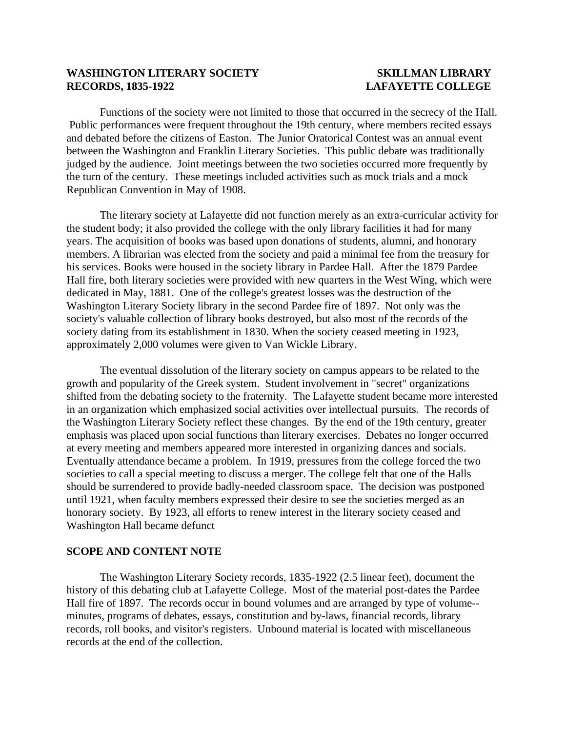Functions of the society were not limited to those that occurred in the secrecy of the Hall. Public performances were frequent throughout the 19th century, where members recited essays and debated before the citizens of Easton. The Junior Oratorical Contest was an annual event between the Washington and Franklin Literary Societies. This public debate was traditionally judged by the audience. Joint meetings between the two societies occurred more frequently by the turn of the century. These meetings included activities such as mock trials and a mock Republican Convention in May of 1908.

The literary society at Lafayette did not function merely as an extra-curricular activity for the student body; it also provided the college with the only library facilities it had for many years. The acquisition of books was based upon donations of students, alumni, and honorary members. A librarian was elected from the society and paid a minimal fee from the treasury for his services. Books were housed in the society library in Pardee Hall. After the 1879 Pardee Hall fire, both literary societies were provided with new quarters in the West Wing, which were dedicated in May, 1881. One of the college's greatest losses was the destruction of the Washington Literary Society library in the second Pardee fire of 1897. Not only was the society's valuable collection of library books destroyed, but also most of the records of the society dating from its establishment in 1830. When the society ceased meeting in 1923, approximately 2,000 volumes were given to Van Wickle Library.

The eventual dissolution of the literary society on campus appears to be related to the growth and popularity of the Greek system. Student involvement in "secret" organizations shifted from the debating society to the fraternity. The Lafayette student became more interested in an organization which emphasized social activities over intellectual pursuits. The records of the Washington Literary Society reflect these changes. By the end of the 19th century, greater emphasis was placed upon social functions than literary exercises. Debates no longer occurred at every meeting and members appeared more interested in organizing dances and socials. Eventually attendance became a problem. In 1919, pressures from the college forced the two societies to call a special meeting to discuss a merger. The college felt that one of the Halls should be surrendered to provide badly-needed classroom space. The decision was postponed until 1921, when faculty members expressed their desire to see the societies merged as an honorary society. By 1923, all efforts to renew interest in the literary society ceased and Washington Hall became defunct

### **SCOPE AND CONTENT NOTE**

The Washington Literary Society records, 1835-1922 (2.5 linear feet), document the history of this debating club at Lafayette College. Most of the material post-dates the Pardee Hall fire of 1897. The records occur in bound volumes and are arranged by type of volume- minutes, programs of debates, essays, constitution and by-laws, financial records, library records, roll books, and visitor's registers. Unbound material is located with miscellaneous records at the end of the collection.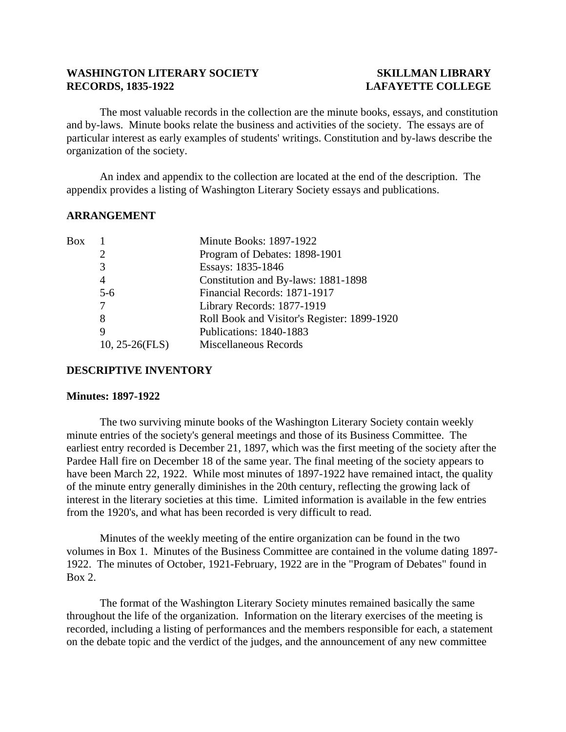The most valuable records in the collection are the minute books, essays, and constitution and by-laws. Minute books relate the business and activities of the society. The essays are of particular interest as early examples of students' writings. Constitution and by-laws describe the organization of the society.

An index and appendix to the collection are located at the end of the description. The appendix provides a listing of Washington Literary Society essays and publications.

### **ARRANGEMENT**

| Box |                   | <b>Minute Books: 1897-1922</b>              |
|-----|-------------------|---------------------------------------------|
|     |                   | Program of Debates: 1898-1901               |
|     | 3                 | Essays: 1835-1846                           |
|     | $\overline{4}$    | Constitution and By-laws: 1881-1898         |
|     | $5 - 6$           | Financial Records: 1871-1917                |
|     |                   | Library Records: 1877-1919                  |
|     | 8                 | Roll Book and Visitor's Register: 1899-1920 |
|     | 9                 | Publications: 1840-1883                     |
|     | $10, 25-26$ (FLS) | Miscellaneous Records                       |
|     |                   |                                             |

### **DESCRIPTIVE INVENTORY**

### **Minutes: 1897-1922**

 The two surviving minute books of the Washington Literary Society contain weekly minute entries of the society's general meetings and those of its Business Committee. The earliest entry recorded is December 21, 1897, which was the first meeting of the society after the Pardee Hall fire on December 18 of the same year. The final meeting of the society appears to have been March 22, 1922. While most minutes of 1897-1922 have remained intact, the quality of the minute entry generally diminishes in the 20th century, reflecting the growing lack of interest in the literary societies at this time. Limited information is available in the few entries from the 1920's, and what has been recorded is very difficult to read.

Minutes of the weekly meeting of the entire organization can be found in the two volumes in Box 1. Minutes of the Business Committee are contained in the volume dating 1897- 1922. The minutes of October, 1921-February, 1922 are in the "Program of Debates" found in Box 2.

The format of the Washington Literary Society minutes remained basically the same throughout the life of the organization. Information on the literary exercises of the meeting is recorded, including a listing of performances and the members responsible for each, a statement on the debate topic and the verdict of the judges, and the announcement of any new committee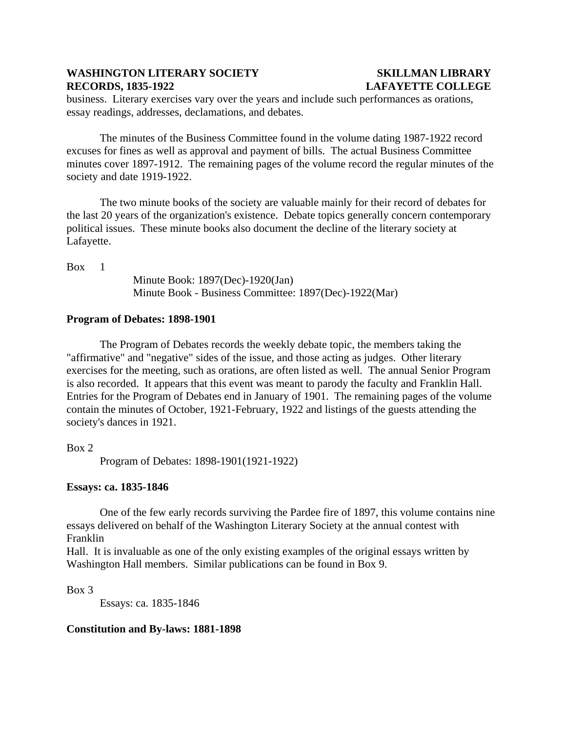business. Literary exercises vary over the years and include such performances as orations, essay readings, addresses, declamations, and debates.

The minutes of the Business Committee found in the volume dating 1987-1922 record excuses for fines as well as approval and payment of bills. The actual Business Committee minutes cover 1897-1912. The remaining pages of the volume record the regular minutes of the society and date 1919-1922.

The two minute books of the society are valuable mainly for their record of debates for the last 20 years of the organization's existence. Debate topics generally concern contemporary political issues. These minute books also document the decline of the literary society at Lafayette.

Box 1

Minute Book: 1897(Dec)-1920(Jan) Minute Book - Business Committee: 1897(Dec)-1922(Mar)

## **Program of Debates: 1898-1901**

The Program of Debates records the weekly debate topic, the members taking the "affirmative" and "negative" sides of the issue, and those acting as judges. Other literary exercises for the meeting, such as orations, are often listed as well. The annual Senior Program is also recorded. It appears that this event was meant to parody the faculty and Franklin Hall. Entries for the Program of Debates end in January of 1901. The remaining pages of the volume contain the minutes of October, 1921-February, 1922 and listings of the guests attending the society's dances in 1921.

Box 2

Program of Debates: 1898-1901(1921-1922)

# **Essays: ca. 1835-1846**

 One of the few early records surviving the Pardee fire of 1897, this volume contains nine essays delivered on behalf of the Washington Literary Society at the annual contest with Franklin

Hall. It is invaluable as one of the only existing examples of the original essays written by Washington Hall members. Similar publications can be found in Box 9.

Box 3

Essays: ca. 1835-1846

# **Constitution and By-laws: 1881-1898**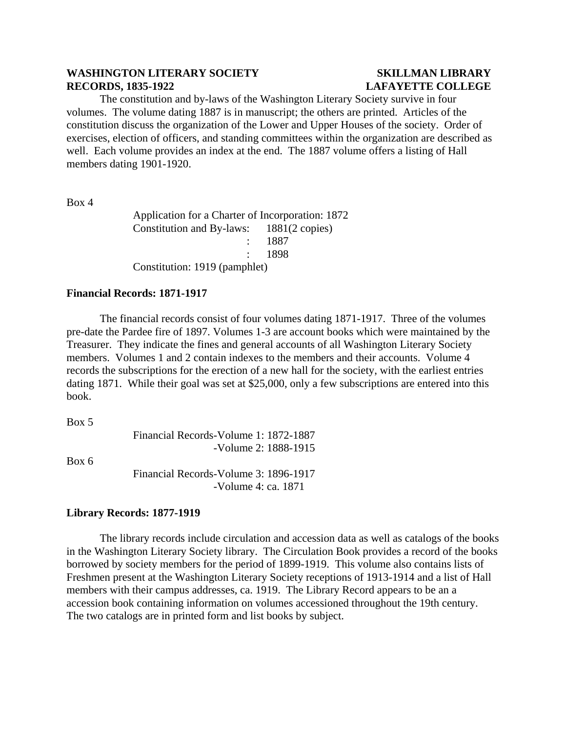The constitution and by-laws of the Washington Literary Society survive in four volumes. The volume dating 1887 is in manuscript; the others are printed. Articles of the constitution discuss the organization of the Lower and Upper Houses of the society. Order of exercises, election of officers, and standing committees within the organization are described as well. Each volume provides an index at the end. The 1887 volume offers a listing of Hall members dating 1901-1920.

Box 4

Application for a Charter of Incorporation: 1872 Constitution and By-laws: 1881(2 copies) : 1887 : 1898 Constitution: 1919 (pamphlet)

### **Financial Records: 1871-1917**

The financial records consist of four volumes dating 1871-1917. Three of the volumes pre-date the Pardee fire of 1897. Volumes 1-3 are account books which were maintained by the Treasurer. They indicate the fines and general accounts of all Washington Literary Society members. Volumes 1 and 2 contain indexes to the members and their accounts. Volume 4 records the subscriptions for the erection of a new hall for the society, with the earliest entries dating 1871. While their goal was set at \$25,000, only a few subscriptions are entered into this book.

Box 5

Financial Records-Volume 1: 1872-1887 -Volume 2: 1888-1915

Box 6

Financial Records-Volume 3: 1896-1917 -Volume 4: ca. 1871

### **Library Records: 1877-1919**

 The library records include circulation and accession data as well as catalogs of the books in the Washington Literary Society library. The Circulation Book provides a record of the books borrowed by society members for the period of 1899-1919. This volume also contains lists of Freshmen present at the Washington Literary Society receptions of 1913-1914 and a list of Hall members with their campus addresses, ca. 1919. The Library Record appears to be an a accession book containing information on volumes accessioned throughout the 19th century. The two catalogs are in printed form and list books by subject.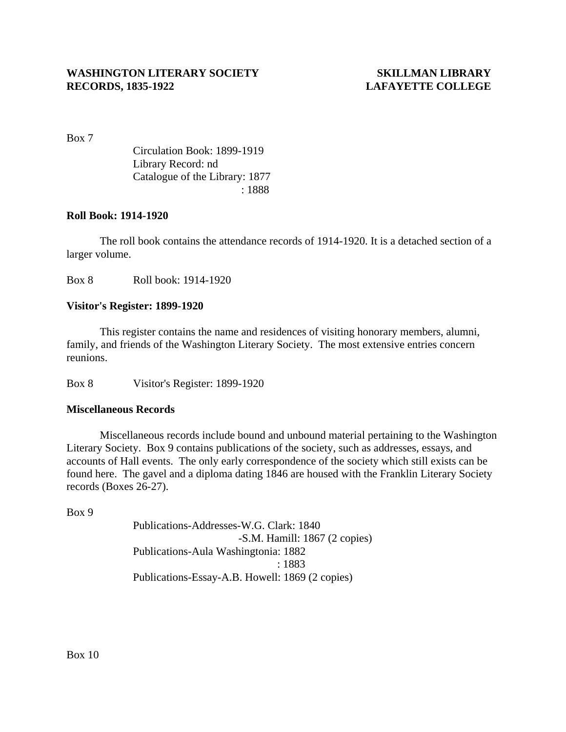Box 7

Circulation Book: 1899-1919 Library Record: nd Catalogue of the Library: 1877 : 1888

### **Roll Book: 1914-1920**

The roll book contains the attendance records of 1914-1920. It is a detached section of a larger volume.

Box 8 Roll book: 1914-1920

# **Visitor's Register: 1899-1920**

 This register contains the name and residences of visiting honorary members, alumni, family, and friends of the Washington Literary Society. The most extensive entries concern reunions.

Box 8 Visitor's Register: 1899-1920

## **Miscellaneous Records**

Miscellaneous records include bound and unbound material pertaining to the Washington Literary Society. Box 9 contains publications of the society, such as addresses, essays, and accounts of Hall events. The only early correspondence of the society which still exists can be found here. The gavel and a diploma dating 1846 are housed with the Franklin Literary Society records (Boxes 26-27).

Box 9

Publications-Addresses-W.G. Clark: 1840 -S.M. Hamill: 1867 (2 copies) Publications-Aula Washingtonia: 1882 : 1883 Publications-Essay-A.B. Howell: 1869 (2 copies)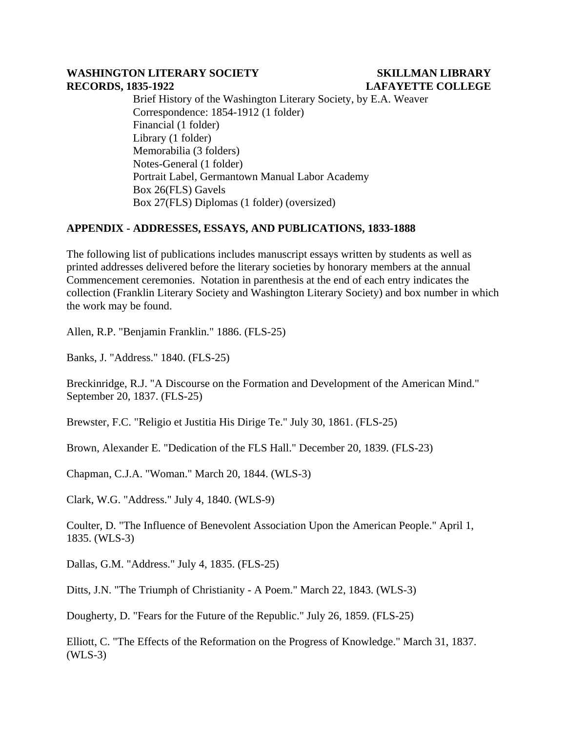Brief History of the Washington Literary Society, by E.A. Weaver Correspondence: 1854-1912 (1 folder) Financial (1 folder) Library (1 folder) Memorabilia (3 folders) Notes-General (1 folder) Portrait Label, Germantown Manual Labor Academy Box 26(FLS) Gavels Box 27(FLS) Diplomas (1 folder) (oversized)

# **APPENDIX - ADDRESSES, ESSAYS, AND PUBLICATIONS, 1833-1888**

The following list of publications includes manuscript essays written by students as well as printed addresses delivered before the literary societies by honorary members at the annual Commencement ceremonies. Notation in parenthesis at the end of each entry indicates the collection (Franklin Literary Society and Washington Literary Society) and box number in which the work may be found.

Allen, R.P. "Benjamin Franklin." 1886. (FLS-25)

Banks, J. "Address." 1840. (FLS-25)

Breckinridge, R.J. "A Discourse on the Formation and Development of the American Mind." September 20, 1837. (FLS-25)

Brewster, F.C. "Religio et Justitia His Dirige Te." July 30, 1861. (FLS-25)

Brown, Alexander E. "Dedication of the FLS Hall." December 20, 1839. (FLS-23)

Chapman, C.J.A. "Woman." March 20, 1844. (WLS-3)

Clark, W.G. "Address." July 4, 1840. (WLS-9)

Coulter, D. "The Influence of Benevolent Association Upon the American People." April 1, 1835. (WLS-3)

Dallas, G.M. "Address." July 4, 1835. (FLS-25)

Ditts, J.N. "The Triumph of Christianity - A Poem." March 22, 1843. (WLS-3)

Dougherty, D. "Fears for the Future of the Republic." July 26, 1859. (FLS-25)

Elliott, C. "The Effects of the Reformation on the Progress of Knowledge." March 31, 1837. (WLS-3)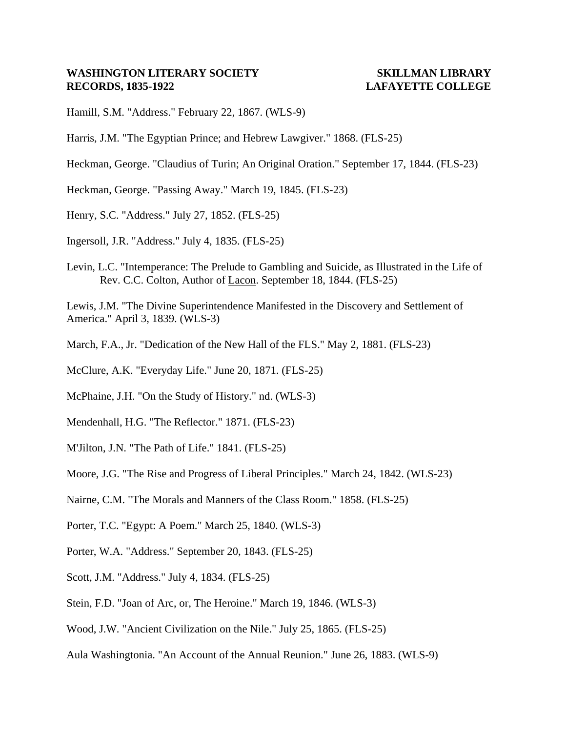Hamill, S.M. "Address." February 22, 1867. (WLS-9)

- Harris, J.M. "The Egyptian Prince; and Hebrew Lawgiver." 1868. (FLS-25)
- Heckman, George. "Claudius of Turin; An Original Oration." September 17, 1844. (FLS-23)
- Heckman, George. "Passing Away." March 19, 1845. (FLS-23)
- Henry, S.C. "Address." July 27, 1852. (FLS-25)
- Ingersoll, J.R. "Address." July 4, 1835. (FLS-25)
- Levin, L.C. "Intemperance: The Prelude to Gambling and Suicide, as Illustrated in the Life of Rev. C.C. Colton, Author of Lacon. September 18, 1844. (FLS-25)

Lewis, J.M. "The Divine Superintendence Manifested in the Discovery and Settlement of America." April 3, 1839. (WLS-3)

- March, F.A., Jr. "Dedication of the New Hall of the FLS." May 2, 1881. (FLS-23)
- McClure, A.K. "Everyday Life." June 20, 1871. (FLS-25)
- McPhaine, J.H. "On the Study of History." nd. (WLS-3)
- Mendenhall, H.G. "The Reflector." 1871. (FLS-23)
- M'Jilton, J.N. "The Path of Life." 1841. (FLS-25)
- Moore, J.G. "The Rise and Progress of Liberal Principles." March 24, 1842. (WLS-23)
- Nairne, C.M. "The Morals and Manners of the Class Room." 1858. (FLS-25)
- Porter, T.C. "Egypt: A Poem." March 25, 1840. (WLS-3)
- Porter, W.A. "Address." September 20, 1843. (FLS-25)
- Scott, J.M. "Address." July 4, 1834. (FLS-25)
- Stein, F.D. "Joan of Arc, or, The Heroine." March 19, 1846. (WLS-3)
- Wood, J.W. "Ancient Civilization on the Nile." July 25, 1865. (FLS-25)
- Aula Washingtonia. "An Account of the Annual Reunion." June 26, 1883. (WLS-9)